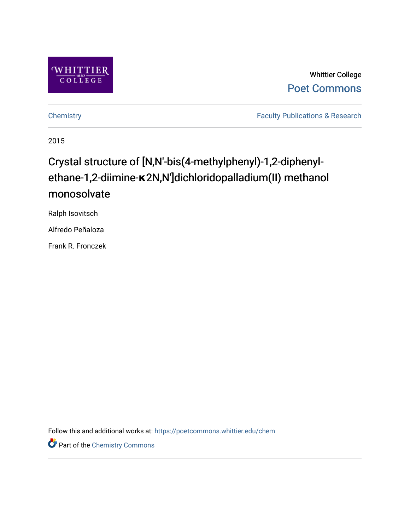

Whittier College [Poet Commons](https://poetcommons.whittier.edu/) 

[Chemistry](https://poetcommons.whittier.edu/chem) **Faculty Publications & Research** 

2015

## Crystal structure of [N,N′-bis(4-methylphenyl)-1,2-diphenylethane-1,2-diimine-**κ**2N,N′]dichloridopalladium(II) methanol monosolvate

Ralph Isovitsch

Alfredo Peñaloza

Frank R. Fronczek

Follow this and additional works at: [https://poetcommons.whittier.edu/chem](https://poetcommons.whittier.edu/chem?utm_source=poetcommons.whittier.edu%2Fchem%2F8&utm_medium=PDF&utm_campaign=PDFCoverPages)

Part of the [Chemistry Commons](http://network.bepress.com/hgg/discipline/131?utm_source=poetcommons.whittier.edu%2Fchem%2F8&utm_medium=PDF&utm_campaign=PDFCoverPages)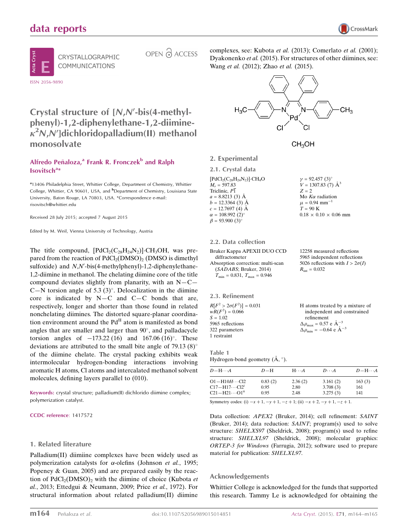## data reports





CRYSTALLOGRAPHIC COMMUNICATIONS

OPEN 2 ACCESS

complexes, see: Kubota et al. (2013); Comerlato et al. (2001); Dyakonenko et al. (2015). For structures of other diimines, see: Wang et al. (2012); Zhao et al. (2015).





12258 measured reflections 5965 independent reflections 5026 reflections with  $I > 2\sigma(I)$ 

 $R_{\text{int}} = 0.032$ 

2. Experimental

2.1. Crystal data  $[{}PdCl_2(C_{28}H_{24}N_2)]$ ·CH<sub>4</sub>O  $M_r = 597.83$ Triclinic,  $P\overline{1}$  $a = 8.8213(3)$  Å  $b = 12.3364(3)$  Å  $c = 12.7697(4)$  Å  $\alpha = 108.992 \ (2)^{\circ}$  $\beta = 93.900(3)^{\circ}$  $\nu = 92.457 (3)$ °  $V = 1307.83$  (7)  $\mathring{A}^3$  $Z = 2$ Mo  $K\alpha$  radiation  $\mu$  = 0.94 mm<sup>-1</sup>  $T = 90 K$  $0.18 \times 0.10 \times 0.06$  mm

#### 2.2. Data collection

| Bruker Kappa APEXII DUO CCD                      |  |
|--------------------------------------------------|--|
| diffractometer                                   |  |
| Absorption correction: multi-scan                |  |
| (SADABS; Bruker, 2014)                           |  |
| $T_{\text{min}} = 0.831, T_{\text{max}} = 0.946$ |  |
|                                                  |  |

| H atoms treated by a mixture of                                                                                               |
|-------------------------------------------------------------------------------------------------------------------------------|
| independent and constrained                                                                                                   |
| refinement                                                                                                                    |
| $\Delta \rho_{\text{max}} = 0.57 \text{ e } \text{\AA}^{-3}$<br>$\Delta \rho_{\text{min}} = -0.64 \text{ e } \text{\AA}^{-3}$ |
|                                                                                                                               |
|                                                                                                                               |
|                                                                                                                               |

Table 1 Hydrogen-bond geometry  $(\mathring{A}, \degree)$ .

| $D - H \cdots A$                                                                           | $D-H$   | $H \cdot \cdot \cdot A$ | $D\cdots A$ | $D = H \cdots A$ |
|--------------------------------------------------------------------------------------------|---------|-------------------------|-------------|------------------|
| $O1 - H10H \cdots Cl2$                                                                     | 0.83(2) | 2.36(2)                 | 3.161(2)    | 163(3)           |
| $C17 - H17 \cdots C12^i$                                                                   | 0.95    | 2.80                    | 3.708(3)    | 161              |
| $C21 - H21 \cdots O1^{ii}$                                                                 | 0.95    | 2.48                    | 3.275(3)    | 141              |
| Symmetry codes: (i) $-x + 1$ , $-y + 1$ , $-z + 1$ ; (ii) $-x + 2$ , $-y + 1$ , $-z + 1$ . |         |                         |             |                  |

Data collection: APEX2 (Bruker, 2014); cell refinement: SAINT (Bruker, 2014); data reduction: SAINT; program(s) used to solve structure: SHELXS97 (Sheldrick, 2008); program(s) used to refine structure: SHELXL97 (Sheldrick, 2008); molecular graphics: ORTEP-3 for Windows (Farrugia, 2012); software used to prepare material for publication: SHELXL97.

#### Acknowledgements

Whittier College is acknowledged for the funds that supported this research. Tammy Le is acknowledged for obtaining the

Crystal structure of  $[N,N'-bis(4-methyl$ phenyl)-1,2-diphenylethane-1,2-diimine $k^2N$ , $N$ ']dichloridopalladium(II) methanol monosolvate

### Alfredo Peñaloza,<sup>a</sup> Frank R. Fronczek<sup>b</sup> and Ralph Isovitsch<sup>a\*</sup>

<sup>a</sup>13406 Philadelphia Street, Whittier College, Department of Chemistry, Whittier College, Whittier, CA 90601, USA, and <sup>b</sup>Department of Chemistry, Louisiana State University, Baton Rouge, LA 70803, USA. \*Correspondence e-mail: risovitsch@whittier.edu

Received 28 July 2015; accepted 7 August 2015

Edited by M. Weil, Vienna University of Technology, Austria

The title compound,  $[\text{PdCl}_2(C_{28}H_{24}N_2)]$ ·CH<sub>3</sub>OH, was prepared from the reaction of  $PdCl<sub>2</sub>(DMSO)<sub>2</sub> (DMSO)$  is dimethyl sulfoxide) and N,N'-bis(4-methylphenyl)-1,2-diphenylethane-1,2-diimine in methanol. The chelating diimine core of the title compound deviates slightly from planarity, with an  $N - C -$ C-N torsion angle of 5.3 (3)°. Delocalization in the diimine core is indicated by  $N-C$  and  $C-C$  bonds that are, respectively, longer and shorter than those found in related nonchelating diimines. The distorted square-planar coordination environment around the  $Pd<sup>H</sup>$  atom is manifested as bond angles that are smaller and larger than  $90^\circ$ , and palladacycle torsion angles of  $-173.22$  (16) and 167.06 (16)°. These deviations are attributed to the small bite angle of 79.13  $(8)^\circ$ of the diimine chelate. The crystal packing exhibits weak intermolecular hydrogen-bonding interactions involving aromatic H atoms, Cl atoms and intercalated methanol solvent molecules, defining layers parallel to (010).

Keywords: crystal structure; palladium(II) dichlorido diimine complex; polymerization catalyst.

CCDC reference: 1417572

#### 1. Related literature

Palladium(II) diimiine complexes have been widely used as polymerization catalysts for  $\alpha$ -olefins (Johnson et al., 1995; Popeney & Guan, 2005) and are prepared easily by the reaction of  $PdCl<sub>2</sub>(DMSO)<sub>2</sub>$  with the diimine of choice (Kubota *et* al., 2013; Ettedgui & Neumann, 2009; Price et al., 1972). For structural information about related palladium(II) diimine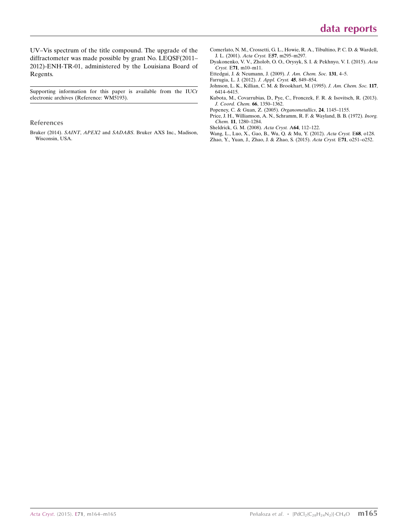UV–Vis spectrum of the title compound. The upgrade of the diffractometer was made possible by grant No. LEQSF(2011– 2012)-ENH-TR-01, administered by the Louisiana Board of Regents.

Supporting information for this paper is available from the IUCr electronic archives (Reference: WM5193).

#### References

Bruker (2014). SAINT, APEX2 and SADABS[. Bruker AXS Inc., Madison,](https://scripts.iucr.org/cgi-bin/cr.cgi?rm=pdfbb&cnor=wm5193&bbid=BB1) [Wisconsin, USA.](https://scripts.iucr.org/cgi-bin/cr.cgi?rm=pdfbb&cnor=wm5193&bbid=BB1)

- [Comerlato, N. M., Crossetti, G. L., Howie, R. A., Tibultino, P. C. D. & Wardell,](https://scripts.iucr.org/cgi-bin/cr.cgi?rm=pdfbb&cnor=wm5193&bbid=BB2) J. L. (2001). Acta Cryst. E57[, m295–m297.](https://scripts.iucr.org/cgi-bin/cr.cgi?rm=pdfbb&cnor=wm5193&bbid=BB2)
- [Dyakonenko, V. V., Zholob, O. O., Orysyk, S. I. & Pekhnyo, V. I. \(2015\).](https://scripts.iucr.org/cgi-bin/cr.cgi?rm=pdfbb&cnor=wm5193&bbid=BB3) Acta Cryst. E71[, m10–m11.](https://scripts.iucr.org/cgi-bin/cr.cgi?rm=pdfbb&cnor=wm5193&bbid=BB3)
- [Ettedgui, J. & Neumann, J. \(2009\).](https://scripts.iucr.org/cgi-bin/cr.cgi?rm=pdfbb&cnor=wm5193&bbid=BB4) J. Am. Chem. Soc. 131, 4–5.
- [Farrugia, L. J. \(2012\).](https://scripts.iucr.org/cgi-bin/cr.cgi?rm=pdfbb&cnor=wm5193&bbid=BB5) J. Appl. Cryst. 45, 849–854.
- [Johnson, L. K., Killian, C. M. & Brookhart, M. \(1995\).](https://scripts.iucr.org/cgi-bin/cr.cgi?rm=pdfbb&cnor=wm5193&bbid=BB6) J. Am. Chem. Soc. 117, [6414–6415.](https://scripts.iucr.org/cgi-bin/cr.cgi?rm=pdfbb&cnor=wm5193&bbid=BB6)
- [Kubota, M., Covarrubias, D., Pye, C., Fronczek, F. R. & Isovitsch, R. \(2013\).](https://scripts.iucr.org/cgi-bin/cr.cgi?rm=pdfbb&cnor=wm5193&bbid=BB7) [J. Coord. Chem.](https://scripts.iucr.org/cgi-bin/cr.cgi?rm=pdfbb&cnor=wm5193&bbid=BB7) 66, 1350–1362.
- [Popeney, C. & Guan, Z. \(2005\).](https://scripts.iucr.org/cgi-bin/cr.cgi?rm=pdfbb&cnor=wm5193&bbid=BB8) Organometallics, 24, 1145–1155.
- [Price, J. H., Williamson, A. N., Schramm, R. F. & Wayland, B. B. \(1972\).](https://scripts.iucr.org/cgi-bin/cr.cgi?rm=pdfbb&cnor=wm5193&bbid=BB9) Inorg. Chem. 11[, 1280–1284.](https://scripts.iucr.org/cgi-bin/cr.cgi?rm=pdfbb&cnor=wm5193&bbid=BB9)
- [Sheldrick, G. M. \(2008\).](https://scripts.iucr.org/cgi-bin/cr.cgi?rm=pdfbb&cnor=wm5193&bbid=BB10) Acta Cryst. A64, 112–122.
- [Wang, L., Luo, X., Gao, B., Wu, Q. & Mu, Y. \(2012\).](https://scripts.iucr.org/cgi-bin/cr.cgi?rm=pdfbb&cnor=wm5193&bbid=BB11) Acta Cryst. E68, o128.
- [Zhao, Y., Yuan, J., Zhao, J. & Zhao, S. \(2015\).](https://scripts.iucr.org/cgi-bin/cr.cgi?rm=pdfbb&cnor=wm5193&bbid=BB12) Acta Cryst. E71, o251–o252.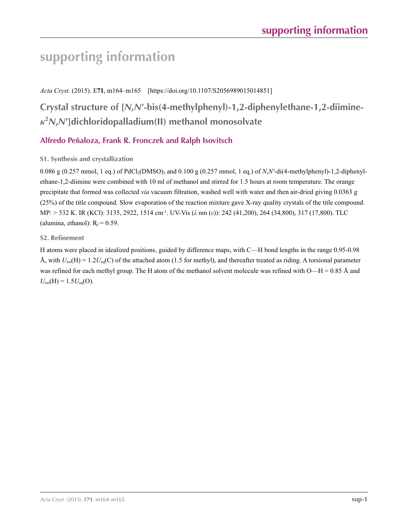# **supporting information**

*Acta Cryst.* (2015). E**71**, m164–m165 [https://doi.org/10.1107/S2056989015014851]

## **Crystal structure of [***N***,***N***′-bis(4-methylphenyl)-1,2-diphenylethane-1,2-diimine***κ***2** *N***,***N***′]dichloridopalladium(II) methanol monosolvate**

## **Alfredo Peñaloza, Frank R. Fronczek and Ralph Isovitsch**

## **S1. Synthesis and crystallization**

0.086 g (0.257 mmol, 1 eq.) of PdCl2(DMSO)2 and 0.100 g (0.257 mmol, 1 eq.) of *N*,*N′*-di(4-methylphenyl)-1,2-diphenylethane-1,2-diimine were combined with 10 ml of methanol and stirred for 1.5 hours at room temperature. The orange precipitate that formed was collected *via* vacuum filtration, washed well with water and then air-dried giving 0.0363 g (25%) of the title compound. Slow evaporation of the reaction mixture gave X-ray quality crystals of the title compound. MP: > 532 K. IR (KCl): 3135, 2922, 1514 cm-1. UV-Vis (*λ* nm (*ε*)): 242 (41,200), 264 (34,800), 317 (17,800). TLC (alumina, ethanol):  $R_f = 0.59$ .

### **S2. Refinement**

H atoms were placed in idealized positions, guided by difference maps, with C—H bond lengths in the range 0.95-0.98 Å, with  $U_{\text{iso}}(H) = 1.2U_{\text{eq}}(C)$  of the attached atom (1.5 for methyl), and thereafter treated as riding. A torsional parameter was refined for each methyl group. The H atom of the methanol solvent molecule was refined with  $O-H = 0.85$  Å and  $U_{\text{iso}}(H) = 1.5U_{\text{eq}}(O)$ .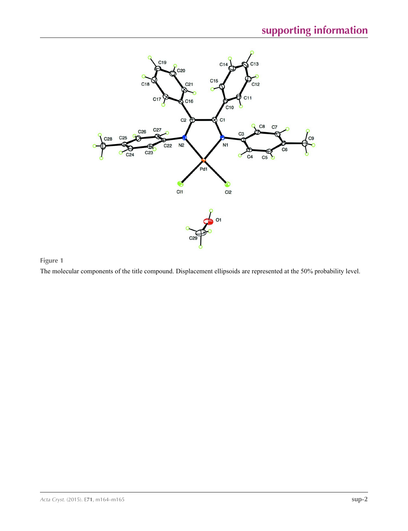

**Figure 1**

The molecular components of the title compound. Displacement ellipsoids are represented at the 50% probability level.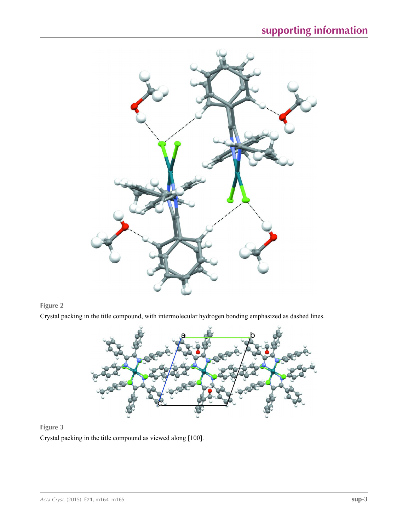



Crystal packing in the title compound, with intermolecular hydrogen bonding emphasized as dashed lines.



## **Figure 3**

Crystal packing in the title compound as viewed along [100].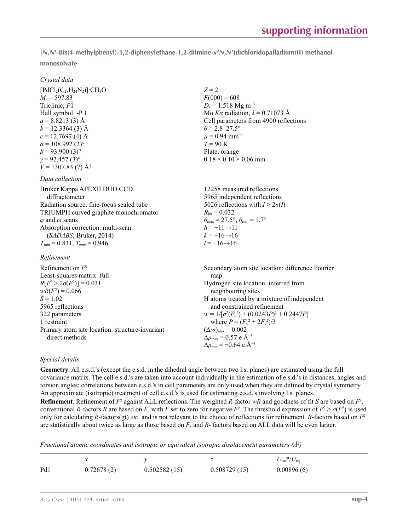**[***N***,***N***′-Bis(4-methylphenyl)-1,2-diphenylethane-1,2-diimine-***κ***<sup>2</sup>** *N***,***N***′]dichloridopalladium(II) methanol monosolvate** 

### *Crystal data*

 $[PdCl<sub>2</sub>(C<sub>28</sub>H<sub>24</sub>N<sub>2</sub>)]·CH<sub>4</sub>O$  $M_r = 597.83$ Triclinic, *P*1 Hall symbol: -P 1  $a = 8.8213(3)$  Å  $b = 12.3364(3)$  Å  $c = 12.7697(4)$  Å  $\alpha$  = 108.992 (2)<sup>o</sup>  $\beta$  = 93.900 (3)<sup>o</sup> *γ* = 92.457 (3)°  $V = 1307.83$  (7) Å<sup>3</sup>

#### *Data collection*

Bruker Kappa APEXII DUO CCD diffractometer Radiation source: fine-focus sealed tube TRIUMPH curved graphite monochromator *φ* and *ω* scans Absorption correction: multi-scan (*SADABS*; Bruker, 2014)  $T_{\text{min}} = 0.831$ ,  $T_{\text{max}} = 0.946$ 

*Refinement*

 $Z = 2$  $F(000) = 608$  $D_x = 1.518$  Mg m<sup>-3</sup> Mo *Kα* radiation,  $\lambda = 0.71073$  Å Cell parameters from 4900 reflections  $\theta$  = 2.8–27.5°  $\mu$  = 0.94 mm<sup>-1</sup>  $T = 90 K$ Plate, orange  $0.18 \times 0.10 \times 0.06$  mm

12258 measured reflections 5965 independent reflections 5026 reflections with  $I > 2\sigma(I)$  $R_{\text{int}} = 0.032$  $\theta_{\text{max}} = 27.5^{\circ}, \theta_{\text{min}} = 1.7^{\circ}$  $h = -11 \rightarrow 11$  $k = -16 \rightarrow 16$  $l = -16 \rightarrow 16$ 

Refinement on *F*<sup>2</sup> Least-squares matrix: full  $R[F^2 > 2\sigma(F^2)] = 0.031$  $wR(F^2) = 0.066$  $S = 1.02$ 5965 reflections 322 parameters 1 restraint Primary atom site location: structure-invariant direct methods Secondary atom site location: difference Fourier map Hydrogen site location: inferred from neighbouring sites H atoms treated by a mixture of independent and constrained refinement  $w = 1/[\sigma^2 (F_0^2) + (0.0243P)^2 + 0.2447P]$ where  $P = (F_o^2 + 2F_c^2)/3$  $(\Delta/\sigma)_{\text{max}} = 0.002$  $\Delta\rho_{\text{max}} = 0.57$  e Å<sup>-3</sup>  $\Delta \rho_{\rm min} = -0.64$  e Å<sup>-3</sup>

### *Special details*

**Geometry**. All e.s.d.'s (except the e.s.d. in the dihedral angle between two l.s. planes) are estimated using the full covariance matrix. The cell e.s.d.'s are taken into account individually in the estimation of e.s.d.'s in distances, angles and torsion angles; correlations between e.s.d.'s in cell parameters are only used when they are defined by crystal symmetry. An approximate (isotropic) treatment of cell e.s.d.'s is used for estimating e.s.d.'s involving l.s. planes.

**Refinement**. Refinement of  $F^2$  against ALL reflections. The weighted *R*-factor  $wR$  and goodness of fit *S* are based on  $F^2$ , conventional *R*-factors *R* are based on *F*, with *F* set to zero for negative  $F^2$ . The threshold expression of  $F^2 > \sigma(F^2)$  is used only for calculating *R*-factors(gt) *etc*. and is not relevant to the choice of reflections for refinement. *R*-factors based on *F*<sup>2</sup> are statistically about twice as large as those based on *F*, and *R*- factors based on ALL data will be even larger.

*Fractional atomic coordinates and isotropic or equivalent isotropic displacement parameters (Å<sup>2</sup>)* 

|     | $\sim$     |              |              | $^*/U_{\rm eq}$<br>$U_{\rm iso}$ |
|-----|------------|--------------|--------------|----------------------------------|
| Pd1 | 0.72678(2) | 0.502582(15) | 0.508729(15) | 0.00896(6)                       |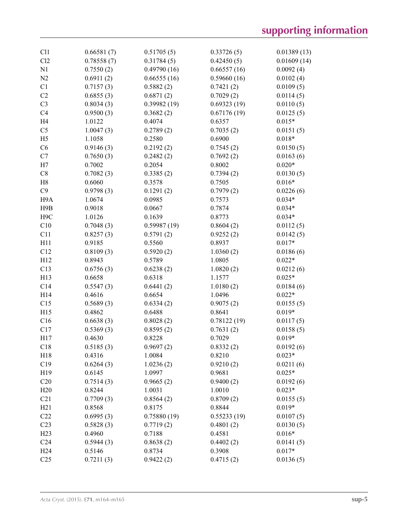| C11              | 0.66581(7) | 0.51705(5)  | 0.33726(5)  | 0.01389(13) |
|------------------|------------|-------------|-------------|-------------|
| Cl2              | 0.78558(7) | 0.31784(5)  | 0.42450(5)  | 0.01609(14) |
| N1               | 0.7550(2)  | 0.49790(16) | 0.66557(16) | 0.0092(4)   |
| N2               | 0.6911(2)  | 0.66555(16) | 0.59660(16) | 0.0102(4)   |
| C1               | 0.7157(3)  | 0.5882(2)   | 0.7421(2)   | 0.0109(5)   |
| C <sub>2</sub>   | 0.6855(3)  | 0.6871(2)   | 0.7029(2)   | 0.0114(5)   |
| C <sub>3</sub>   | 0.8034(3)  | 0.39982(19) | 0.69323(19) | 0.0110(5)   |
| C <sub>4</sub>   | 0.9500(3)  | 0.3682(2)   | 0.67176(19) | 0.0125(5)   |
| H <sub>4</sub>   | 1.0122     | 0.4074      | 0.6357      | $0.015*$    |
| C <sub>5</sub>   | 1.0047(3)  | 0.2789(2)   | 0.7035(2)   | 0.0151(5)   |
| H <sub>5</sub>   | 1.1058     | 0.2580      | 0.6900      | $0.018*$    |
| C6               | 0.9146(3)  | 0.2192(2)   | 0.7545(2)   | 0.0150(5)   |
| C7               | 0.7650(3)  | 0.2482(2)   | 0.7692(2)   | 0.0163(6)   |
| H7               | 0.7002     | 0.2054      | 0.8002      | $0.020*$    |
| C8               | 0.7082(3)  | 0.3385(2)   | 0.7394(2)   | 0.0130(5)   |
| H8               | 0.6060     | 0.3578      | 0.7505      | $0.016*$    |
| C9               | 0.9798(3)  | 0.1291(2)   | 0.7979(2)   | 0.0226(6)   |
| H <sub>9</sub> A | 1.0674     | 0.0985      | 0.7573      | $0.034*$    |
| H9B              | 0.9018     | 0.0667      | 0.7874      | $0.034*$    |
| H <sub>9</sub> C | 1.0126     | 0.1639      | 0.8773      | $0.034*$    |
| C10              | 0.7048(3)  | 0.59987(19) | 0.8604(2)   | 0.0112(5)   |
| C11              | 0.8257(3)  | 0.5791(2)   | 0.9252(2)   | 0.0142(5)   |
| H11              | 0.9185     | 0.5560      | 0.8937      | $0.017*$    |
| C12              | 0.8109(3)  | 0.5920(2)   | 1.0360(2)   | 0.0186(6)   |
| H12              | 0.8943     | 0.5789      | 1.0805      | $0.022*$    |
| C13              | 0.6756(3)  | 0.6238(2)   | 1.0820(2)   | 0.0212(6)   |
| H13              | 0.6658     | 0.6318      | 1.1577      | $0.025*$    |
| C14              | 0.5547(3)  | 0.6441(2)   | 1.0180(2)   | 0.0184(6)   |
| H14              | 0.4616     | 0.6654      | 1.0496      | $0.022*$    |
| C15              | 0.5689(3)  | 0.6334(2)   | 0.9075(2)   | 0.0155(5)   |
| H15              | 0.4862     | 0.6488      | 0.8641      | $0.019*$    |
| C16              | 0.6638(3)  | 0.8028(2)   | 0.78122(19) | 0.0117(5)   |
| C17              | 0.5369(3)  | 0.8595(2)   | 0.7631(2)   | 0.0158(5)   |
| H17              | 0.4630     | 0.8228      | 0.7029      | $0.019*$    |
| C18              | 0.5185(3)  | 0.9697(2)   | 0.8332(2)   | 0.0192(6)   |
| H18              | 0.4316     | 1.0084      | 0.8210      | $0.023*$    |
| C19              | 0.6264(3)  | 1.0236(2)   | 0.9210(2)   | 0.0211(6)   |
| H19              | 0.6145     | 1.0997      | 0.9681      | $0.025*$    |
| C20              | 0.7514(3)  | 0.9665(2)   | 0.9400(2)   | 0.0192(6)   |
| H20              | 0.8244     | 1.0031      | 1.0010      | $0.023*$    |
| C21              | 0.7709(3)  | 0.8564(2)   | 0.8709(2)   | 0.0155(5)   |
| H21              | 0.8568     | 0.8175      | 0.8844      | $0.019*$    |
| C22              | 0.6995(3)  | 0.75880(19) | 0.55233(19) | 0.0107(5)   |
| C <sub>23</sub>  | 0.5828(3)  | 0.7719(2)   | 0.4801(2)   | 0.0130(5)   |
| H <sub>23</sub>  | 0.4960     | 0.7188      | 0.4581      | $0.016*$    |
| C <sub>24</sub>  | 0.5944(3)  | 0.8638(2)   | 0.4402(2)   | 0.0141(5)   |
| H <sub>24</sub>  | 0.5146     | 0.8734      | 0.3908      | $0.017*$    |
| C <sub>25</sub>  | 0.7211(3)  | 0.9422(2)   | 0.4715(2)   | 0.0136(5)   |
|                  |            |             |             |             |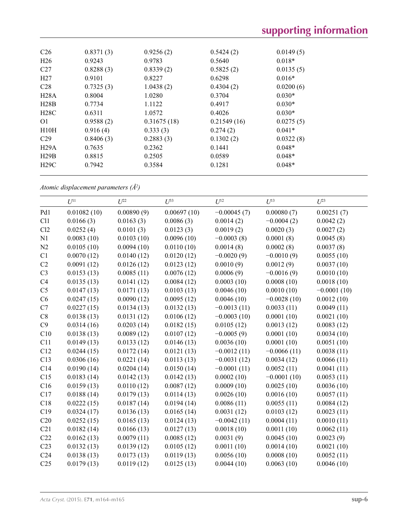| C <sub>26</sub> | 0.8371(3) | 0.9256(2)   | 0.5424(2)   | 0.0149(5) |  |
|-----------------|-----------|-------------|-------------|-----------|--|
| H <sub>26</sub> | 0.9243    | 0.9783      | 0.5640      | $0.018*$  |  |
| C27             | 0.8288(3) | 0.8339(2)   | 0.5825(2)   | 0.0135(5) |  |
| H27             | 0.9101    | 0.8227      | 0.6298      | $0.016*$  |  |
| C <sub>28</sub> | 0.7325(3) | 1.0438(2)   | 0.4304(2)   | 0.0200(6) |  |
| H28A            | 0.8004    | 1.0280      | 0.3704      | $0.030*$  |  |
| H28B            | 0.7734    | 1.1122      | 0.4917      | $0.030*$  |  |
| H28C            | 0.6311    | 1.0572      | 0.4026      | $0.030*$  |  |
| 01              | 0.9588(2) | 0.31675(18) | 0.21549(16) | 0.0275(5) |  |
| H10H            | 0.916(4)  | 0.333(3)    | 0.274(2)    | $0.041*$  |  |
| C <sub>29</sub> | 0.8406(3) | 0.2883(3)   | 0.1302(2)   | 0.0322(8) |  |
| H29A            | 0.7635    | 0.2362      | 0.1441      | $0.048*$  |  |
| H29B            | 0.8815    | 0.2505      | 0.0589      | $0.048*$  |  |
| H29C            | 0.7942    | 0.3584      | 0.1281      | $0.048*$  |  |
|                 |           |             |             |           |  |

*Atomic displacement parameters (Å2 )*

|                 | $U^{11}$    | $U^{22}$   | $U^{33}$    | $U^{12}$      | $U^{13}$      | $U^{23}$      |
|-----------------|-------------|------------|-------------|---------------|---------------|---------------|
| Pd1             | 0.01082(10) | 0.00890(9) | 0.00697(10) | $-0.00045(7)$ | 0.00080(7)    | 0.00251(7)    |
| C11             | 0.0166(3)   | 0.0163(3)  | 0.0086(3)   | 0.0014(2)     | $-0.0004(2)$  | 0.0042(2)     |
| Cl2             | 0.0252(4)   | 0.0101(3)  | 0.0123(3)   | 0.0019(2)     | 0.0020(3)     | 0.0027(2)     |
| N1              | 0.0083(10)  | 0.0103(10) | 0.0096(10)  | $-0.0003(8)$  | 0.0001(8)     | 0.0045(8)     |
| N2              | 0.0105(10)  | 0.0094(10) | 0.0110(10)  | 0.0014(8)     | 0.0002(8)     | 0.0037(8)     |
| C1              | 0.0070(12)  | 0.0140(12) | 0.0120(12)  | $-0.0020(9)$  | $-0.0010(9)$  | 0.0055(10)    |
| C2              | 0.0091(12)  | 0.0126(12) | 0.0123(12)  | 0.0010(9)     | 0.0012(9)     | 0.0037(10)    |
| C <sub>3</sub>  | 0.0153(13)  | 0.0085(11) | 0.0076(12)  | 0.0006(9)     | $-0.0016(9)$  | 0.0010(10)    |
| C4              | 0.0135(13)  | 0.0141(12) | 0.0084(12)  | 0.0003(10)    | 0.0008(10)    | 0.0018(10)    |
| C <sub>5</sub>  | 0.0147(13)  | 0.0171(13) | 0.0103(13)  | 0.0046(10)    | 0.0010(10)    | $-0.0001(10)$ |
| C6              | 0.0247(15)  | 0.0090(12) | 0.0095(12)  | 0.0046(10)    | $-0.0028(10)$ | 0.0012(10)    |
| C7              | 0.0227(15)  | 0.0134(13) | 0.0132(13)  | $-0.0013(11)$ | 0.0033(11)    | 0.0049(11)    |
| C8              | 0.0138(13)  | 0.0131(12) | 0.0106(12)  | $-0.0003(10)$ | 0.0001(10)    | 0.0021(10)    |
| C9              | 0.0314(16)  | 0.0203(14) | 0.0182(15)  | 0.0105(12)    | 0.0013(12)    | 0.0083(12)    |
| C10             | 0.0138(13)  | 0.0089(12) | 0.0107(12)  | $-0.0005(9)$  | 0.0001(10)    | 0.0034(10)    |
| C11             | 0.0149(13)  | 0.0133(12) | 0.0146(13)  | 0.0036(10)    | 0.0001(10)    | 0.0051(10)    |
| C12             | 0.0244(15)  | 0.0172(14) | 0.0121(13)  | $-0.0012(11)$ | $-0.0066(11)$ | 0.0038(11)    |
| C13             | 0.0306(16)  | 0.0221(14) | 0.0113(13)  | $-0.0031(12)$ | 0.0034(12)    | 0.0066(11)    |
| C14             | 0.0190(14)  | 0.0204(14) | 0.0150(14)  | $-0.0001(11)$ | 0.0052(11)    | 0.0041(11)    |
| C15             | 0.0183(14)  | 0.0142(13) | 0.0142(13)  | 0.0002(10)    | $-0.0001(10)$ | 0.0053(11)    |
| C16             | 0.0159(13)  | 0.0110(12) | 0.0087(12)  | 0.0009(10)    | 0.0025(10)    | 0.0036(10)    |
| C17             | 0.0188(14)  | 0.0179(13) | 0.0114(13)  | 0.0026(10)    | 0.0016(10)    | 0.0057(11)    |
| C18             | 0.0222(15)  | 0.0187(14) | 0.0194(14)  | 0.0086(11)    | 0.0055(11)    | 0.0084(12)    |
| C19             | 0.0324(17)  | 0.0136(13) | 0.0165(14)  | 0.0031(12)    | 0.0103(12)    | 0.0023(11)    |
| C20             | 0.0252(15)  | 0.0165(13) | 0.0124(13)  | $-0.0042(11)$ | 0.0004(11)    | 0.0010(11)    |
| C21             | 0.0182(14)  | 0.0166(13) | 0.0127(13)  | 0.0018(10)    | 0.0011(10)    | 0.0062(11)    |
| C22             | 0.0162(13)  | 0.0079(11) | 0.0085(12)  | 0.0031(9)     | 0.0045(10)    | 0.0023(9)     |
| C <sub>23</sub> | 0.0132(13)  | 0.0139(12) | 0.0105(12)  | 0.0011(10)    | 0.0014(10)    | 0.0021(10)    |
| C <sub>24</sub> | 0.0138(13)  | 0.0173(13) | 0.0119(13)  | 0.0056(10)    | 0.0008(10)    | 0.0052(11)    |
| C <sub>25</sub> | 0.0179(13)  | 0.0119(12) | 0.0125(13)  | 0.0044(10)    | 0.0063(10)    | 0.0046(10)    |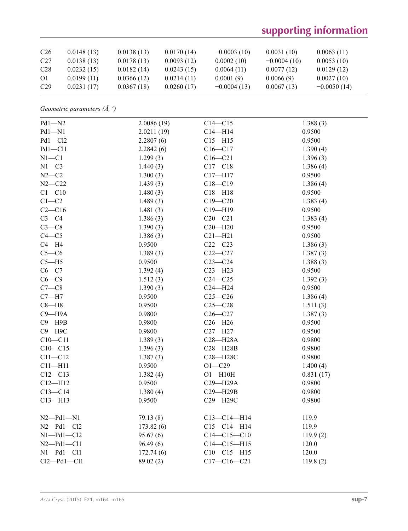# **supporting information**

| C <sub>26</sub> | 0.0148(13) | 0.0138(13) | 0.0170(14) | $-0.0003(10)$ | 0.0031(10)    | 0.0063(11)    |
|-----------------|------------|------------|------------|---------------|---------------|---------------|
| C27             | 0.0138(13) | 0.0178(13) | 0.0093(12) | 0.0002(10)    | $-0.0004(10)$ | 0.0053(10)    |
| C28             | 0.0232(15) | 0.0182(14) | 0.0243(15) | 0.0064(11)    | 0.0077(12)    | 0.0129(12)    |
| <sup>O1</sup>   | 0.0199(11) | 0.0366(12) | 0.0214(11) | 0.0001(9)     | 0.0066(9)     | 0.0027(10)    |
| C <sub>29</sub> | 0.0231(17) | 0.0367(18) | 0.0260(17) | $-0.0004(13)$ | 0.0067(13)    | $-0.0050(14)$ |

*Geometric parameters (Å, º)*

| $Pd1 - N2$       | 2.0086(19) | $C14 - C15$       | 1.388(3)  |  |
|------------------|------------|-------------------|-----------|--|
| $Pd1 - N1$       | 2.0211(19) | $C14 - H14$       | 0.9500    |  |
| $Pd1 - Cl2$      | 2.2807(6)  | $C15 - H15$       | 0.9500    |  |
| Pd1-Cl1          | 2.2842(6)  | $C16 - C17$       | 1.390(4)  |  |
| $N1 - C1$        | 1.299(3)   | $C16 - C21$       | 1.396(3)  |  |
| $N1 - C3$        | 1.440(3)   | $C17 - C18$       | 1.386(4)  |  |
| $N2-C2$          | 1.300(3)   | $C17 - H17$       | 0.9500    |  |
| $N2 - C22$       | 1.439(3)   | $C18 - C19$       | 1.386(4)  |  |
| $C1 - C10$       | 1.480(3)   | $C18 - H18$       | 0.9500    |  |
| $C1-C2$          | 1.489(3)   | $C19 - C20$       | 1.383(4)  |  |
| $C2-C16$         | 1.481(3)   | $C19 - H19$       | 0.9500    |  |
| $C3-C4$          | 1.386(3)   | $C20 - C21$       | 1.383(4)  |  |
| $C3-C8$          | 1.390(3)   | $C20 - H20$       | 0.9500    |  |
| $C4 - C5$        | 1.386(3)   | $C21 - H21$       | 0.9500    |  |
| $C4 - H4$        | 0.9500     | $C22-C23$         | 1.386(3)  |  |
| $C5-C6$          | 1.389(3)   | $C22 - C27$       | 1.387(3)  |  |
| $C5 - H5$        | 0.9500     | $C23-C24$         | 1.388(3)  |  |
| $C6-C7$          | 1.392(4)   | $C23 - H23$       | 0.9500    |  |
| $C6-C9$          | 1.512(3)   | $C24 - C25$       | 1.392(3)  |  |
| $C7-C8$          | 1.390(3)   | $C24 - H24$       | 0.9500    |  |
| $C7 - H7$        | 0.9500     | $C25-C26$         | 1.386(4)  |  |
| $C8 - H8$        | 0.9500     | $C25 - C28$       | 1.511(3)  |  |
| $C9 - H9A$       | 0.9800     | $C26-C27$         | 1.387(3)  |  |
| $C9 - H9B$       | 0.9800     | $C26 - H26$       | 0.9500    |  |
| $C9 - H9C$       | 0.9800     | $C27 - H27$       | 0.9500    |  |
| $C10 - C11$      | 1.389(3)   | $C28 - H28A$      | 0.9800    |  |
| $C10-C15$        | 1.396(3)   | $C28 - H28B$      | 0.9800    |  |
| $C11 - C12$      | 1.387(3)   | C28-H28C          | 0.9800    |  |
| $C11 - H11$      | 0.9500     | $O1 - C29$        | 1.400(4)  |  |
| $C12 - C13$      | 1.382(4)   | $O1 - H10H$       | 0.831(17) |  |
| $C12 - H12$      | 0.9500     | C29-H29A          | 0.9800    |  |
| $C13 - C14$      | 1.380(4)   | C29-H29B          | 0.9800    |  |
| $C13 - H13$      | 0.9500     | C29-H29C          | 0.9800    |  |
| $N2$ -Pd1- $N1$  | 79.13(8)   | $C13 - C14 - H14$ | 119.9     |  |
| $N2 - Pd1 - Cl2$ | 173.82(6)  | $C15 - C14 - H14$ | 119.9     |  |
| $N1$ -Pd1-Cl2    | 95.67(6)   | $C14 - C15 - C10$ | 119.9(2)  |  |
| $N2$ -Pd1-Cl1    | 96.49(6)   | $C14 - C15 - H15$ | 120.0     |  |
| $N1 - Pd1 - C11$ | 172.74(6)  | $C10-C15-H15$     | 120.0     |  |
| $Cl2$ -Pd1-Cl1   | 89.02 (2)  | $C17 - C16 - C21$ | 119.8(2)  |  |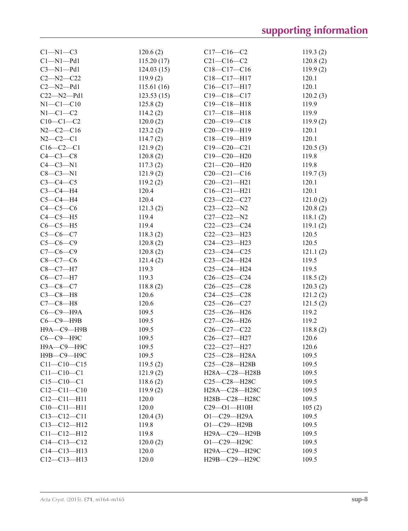| $C1-M1-C3$        | 120.6(2)   | $C17 - C16 - C2$   | 119.3(2) |
|-------------------|------------|--------------------|----------|
| $Cl-M1-Pd1$       | 115.20(17) | $C21 - C16 - C2$   | 120.8(2) |
| $C3-M1-Pd1$       | 124.03(15) | $C18-C17-C16$      | 119.9(2) |
| $C2 - N2 - C22$   | 119.9(2)   | $C18-C17-H17$      | 120.1    |
| $C2 - N2 - Pd1$   | 115.61(16) | C16-C17-H17        | 120.1    |
| $C22 - N2 - Pd1$  | 123.53(15) | $C19 - C18 - C17$  | 120.2(3) |
| $N1-C1-C10$       | 125.8(2)   | $C19 - C18 - H18$  | 119.9    |
| $N1-C1-C2$        | 114.2(2)   | $C17 - C18 - H18$  | 119.9    |
| $C10-C1-C2$       | 120.0(2)   | $C20-C19-C18$      | 119.9(2) |
| $N2-C2-C16$       | 123.2(2)   | $C20-C19-H19$      | 120.1    |
| $N2 - C2 - C1$    | 114.7(2)   | C18-C19-H19        | 120.1    |
| $C16 - C2 - C1$   | 121.9(2)   | $C19 - C20 - C21$  | 120.5(3) |
| $C4-C3-C8$        | 120.8(2)   | $C19 - C20 - H20$  | 119.8    |
| $C4-C3-N1$        | 117.3(2)   | $C21 - C20 - H20$  | 119.8    |
| $C8 - C3 - N1$    | 121.9(2)   | $C20 - C21 - C16$  | 119.7(3) |
| $C3-C4-C5$        | 119.2(2)   | $C20-C21-H21$      | 120.1    |
| $C3-C4-H4$        | 120.4      | $C16 - C21 - H21$  | 120.1    |
| $C5-C4-H4$        | 120.4      | $C23 - C22 - C27$  | 121.0(2) |
| $C4-C5-C6$        | 121.3(2)   | $C23 - C22 - N2$   | 120.8(2) |
| $C4-C5-H5$        | 119.4      | $C27 - C22 - N2$   | 118.1(2) |
| $C6-C5-H5$        | 119.4      | $C22-C23-C24$      | 119.1(2) |
| $C5 - C6 - C7$    | 118.3(2)   | $C22-C23-H23$      | 120.5    |
| $C5 - C6 - C9$    | 120.8(2)   | $C24 - C23 - H23$  | 120.5    |
| $C7-C6-C9$        | 120.8(2)   | $C23-C24-C25$      | 121.1(2) |
| $C8-C7-C6$        | 121.4(2)   | $C23-C24-H24$      | 119.5    |
| $C8 - C7 - H7$    | 119.3      | $C25-C24-H24$      | 119.5    |
| $C6 - C7 - H7$    | 119.3      | $C26 - C25 - C24$  | 118.5(2) |
| $C3 - C8 - C7$    | 118.8(2)   | $C26-C25-C28$      | 120.3(2) |
| $C3-C8-H8$        | 120.6      | $C24 - C25 - C28$  | 121.2(2) |
| $C7-C8-H8$        | 120.6      | $C25-C26-C27$      | 121.5(2) |
| $C6-C9-H9A$       | 109.5      | $C25-C26-H26$      | 119.2    |
| $C6-C9-$ H9B      | 109.5      | C27-C26-H26        | 119.2    |
| Н9А-С9-Н9В        | 109.5      | $C26-C27-C22$      | 118.8(2) |
| С6-С9-Н9С         | 109.5      | C26-C27-H27        | 120.6    |
| Н9А-С9-Н9С        | 109.5      | C22-C27-H27        | 120.6    |
| Н9В-С9-Н9С        | 109.5      | $C25 - C28 - H28A$ | 109.5    |
| $C11 - C10 - C15$ | 119.5(2)   | C25-C28-H28B       | 109.5    |
| $C11 - C10 - C1$  | 121.9(2)   | H28A-C28-H28B      | 109.5    |
| $C15 - C10 - C1$  | 118.6(2)   | C25-C28-H28C       | 109.5    |
| $C12 - C11 - C10$ | 119.9(2)   | H28A-C28-H28C      | 109.5    |
| $C12 - C11 - H11$ | 120.0      | H28B-C28-H28C      | 109.5    |
| $C10 - C11 - H11$ | 120.0      | C29-01-H10H        | 105(2)   |
| $C13 - C12 - C11$ | 120.4(3)   | O1-C29-H29A        | 109.5    |
| $C13 - C12 - H12$ | 119.8      | $O1 - C29 - H29B$  | 109.5    |
| $C11 - C12 - H12$ | 119.8      | H29A-C29-H29B      | 109.5    |
| $C14 - C13 - C12$ | 120.0(2)   | $O1 - C29 - H29C$  | 109.5    |
| $C14 - C13 - H13$ | 120.0      | H29A-C29-H29C      | 109.5    |
| $C12-C13-H13$     | 120.0      | H29B-C29-H29C      | 109.5    |
|                   |            |                    |          |